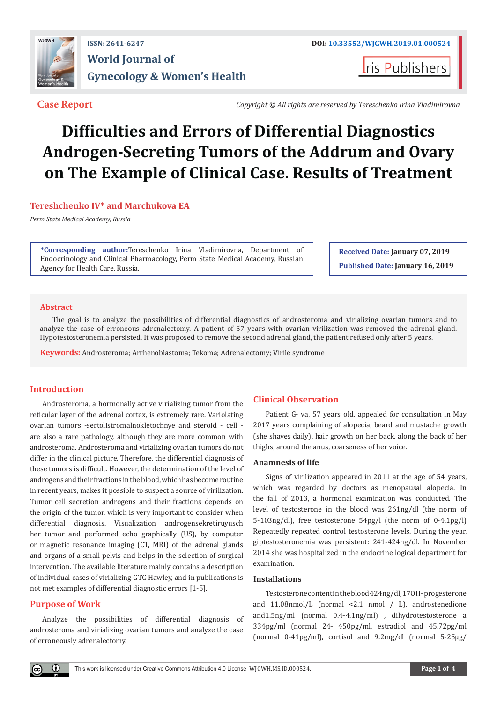

## **ISSN: 2641-6247 DOI: [10.33552/WJGWH.2019.01.00052](http://dx.doi.org/10.33552/WJGWH.2019.01.000524)4 World Journal of Gynecology & Women's Health**

**I**ris Publishers

**Case Report** *Copyright © All rights are reserved by Tereschenko Irina Vladimirovna*

# **Difficulties and Errors of Differential Diagnostics Androgen-Secreting Tumors of the Addrum and Ovary on The Example of Clinical Case. Results of Treatment**

#### **Tereshchenko IV\* and Marchukova EA**

*Perm State Medical Academy, Russia*

**\*Corresponding author:**Tereschenko Irina Vladimirovna, Department of Endocrinology and Clinical Pharmacology, Perm State Medical Academy, Russian Agency for Health Care, Russia.

**Received Date: January 07, 2019 Published Date: January 16, 2019**

#### **Abstract**

The goal is to analyze the possibilities of differential diagnostics of androsteroma and virializing ovarian tumors and to analyze the case of erroneous adrenalectomy. A patient of 57 years with ovarian virilization was removed the adrenal gland. Hypotestosteronemia persisted. It was proposed to remove the second adrenal gland, the patient refused only after 5 years.

**Keywords:** Androsteroma; Arrhenoblastoma; Tekoma; Adrenalectomy; Virile syndrome

### **Introduction**

Androsteroma, a hormonally active virializing tumor from the reticular layer of the adrenal cortex, is extremely rare. Variolating ovarian tumors -sertolistromalnokletochnye and steroid - cell are also a rare pathology, although they are more common with androsteroma. Androsteroma and virializing ovarian tumors do not differ in the clinical picture. Therefore, the differential diagnosis of these tumors is difficult. However, the determination of the level of androgens and their fractions in the blood, which has become routine in recent years, makes it possible to suspect a source of virilization. Tumor cell secretion androgens and their fractions depends on the origin of the tumor, which is very important to consider when differential diagnosis. Visualization androgensekretiruyusch her tumor and performed echo graphically (US), by computer or magnetic resonance imaging (CT, MRI) of the adrenal glands and organs of a small pelvis and helps in the selection of surgical intervention. The available literature mainly contains a description of individual cases of virializing GTC Hawley, and in publications is not met examples of differential diagnostic errors [1-5].

#### **Purpose of Work**

 $_{\odot}$ 

Analyze the possibilities of differential diagnosis of androsteroma and virializing ovarian tumors and analyze the case of erroneously adrenalectomy.

#### **Clinical Observation**

Patient G- va, 57 years old, appealed for consultation in May 2017 years complaining of alopecia, beard and mustache growth (she shaves daily), hair growth on her back, along the back of her thighs, around the anus, coarseness of her voice.

#### **Anamnesis of life**

Signs of virilization appeared in 2011 at the age of 54 years, which was regarded by doctors as menopausal alopecia. In the fall of 2013, a hormonal examination was conducted. The level of testosterone in the blood was 261ng/dl (the norm of 5-103ng/dl), free testosterone 54pg/l (the norm of 0-4.1pg/l) Repeatedly repeated control testosterone levels. During the year, giptestosteronemia was persistent: 241-424ng/dl. In November 2014 she was hospitalized in the endocrine logical department for examination.

#### **Installations**

Testosterone content in the blood 424ng/dl, 17OH- progesterone and 11.08nmol/L (normal <2.1 nmol / L), androstenedione and1.5ng/ml (normal 0.4-4.1ng/ml) , dihydrotestosterone a 334pg/ml (normal 24- 450pg/ml, estradiol and 45.72pg/ml (normal 0-41pg/ml), cortisol and 9.2mg/dl (normal 5-25µg/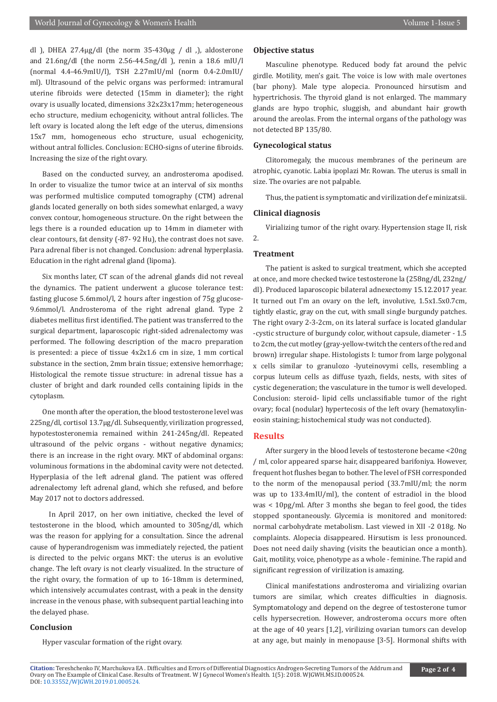dl ), DHEA 27.4µg/dl (the norm 35-430µg / dl ,), aldosterone and 21.6ng/dl (the norm 2.56-44.5ng/dl ), renin a 18.6 mIU/l (normal 4.4-46.9mIU/l), TSH 2.27mIU/ml (norm 0.4-2.0mIU/ ml). Ultrasound of the pelvic organs was performed: intramural uterine fibroids were detected (15mm in diameter); the right ovary is usually located, dimensions 32x23x17mm; heterogeneous echo structure, medium echogenicity, without antral follicles. The left ovary is located along the left edge of the uterus, dimensions 15x7 mm, homogeneous echo structure, usual echogenicity, without antral follicles. Conclusion: ECHO-signs of uterine fibroids. Increasing the size of the right ovary.

Based on the conducted survey, an androsteroma apodised. In order to visualize the tumor twice at an interval of six months was performed multislice computed tomography (CTM) adrenal glands located generally on both sides somewhat enlarged, a wavy convex contour, homogeneous structure. On the right between the legs there is a rounded education up to 14mm in diameter with clear contours, fat density (-87- 92 Hu), the contrast does not save. Para adrenal fiber is not changed. Conclusion: adrenal hyperplasia. Education in the right adrenal gland (lipoma).

Six months later, CT scan of the adrenal glands did not reveal the dynamics. The patient underwent a glucose tolerance test: fasting glucose 5.6mmol/l, 2 hours after ingestion of 75g glucose-9.6mmol/l. Androsteroma of the right adrenal gland. Type 2 diabetes mellitus first identified. The patient was transferred to the surgical department, laparoscopic right-sided adrenalectomy was performed. The following description of the macro preparation is presented: a piece of tissue 4x2x1.6 cm in size, 1 mm cortical substance in the section, 2mm brain tissue; extensive hemorrhage; Histological the remote tissue structure: in adrenal tissue has a cluster of bright and dark rounded cells containing lipids in the cytoplasm.

One month after the operation, the blood testosterone level was 225ng/dl, cortisol 13.7µg/dl. Subsequently, virilization progressed, hypotestosteronemia remained within 241-245ng/dl. Repeated ultrasound of the pelvic organs - without negative dynamics; there is an increase in the right ovary. MKT of abdominal organs: voluminous formations in the abdominal cavity were not detected. Hyperplasia of the left adrenal gland. The patient was offered adrenalectomy left adrenal gland, which she refused, and before May 2017 not to doctors addressed.

 In April 2017, on her own initiative, checked the level of testosterone in the blood, which amounted to 305ng/dl, which was the reason for applying for a consultation. Since the adrenal cause of hyperandrogenism was immediately rejected, the patient is directed to the pelvic organs MKT: the uterus is an evolutive change. The left ovary is not clearly visualized. In the structure of the right ovary, the formation of up to 16-18mm is determined, which intensively accumulates contrast, with a peak in the density increase in the venous phase, with subsequent partial leaching into the delayed phase.

#### **Conclusion**

Hyper vascular formation of the right ovary.

#### **Objective status**

Masculine phenotype. Reduced body fat around the pelvic girdle. Motility, men's gait. The voice is low with male overtones (bar phony). Male type alopecia. Pronounced hirsutism and hypertrichosis. The thyroid gland is not enlarged. The mammary glands are hypo trophic, sluggish, and abundant hair growth around the areolas. From the internal organs of the pathology was not detected BP 135/80.

#### **Gynecological status**

Clitoromegaly, the mucous membranes of the perineum are atrophic, cyanotic. Labia ipoplazi Mr. Rowan. The uterus is small in size. The ovaries are not palpable.

Thus, the patient is symptomatic and virilization def e minizatsii.

#### **Clinical diagnosis**

Virializing tumor of the right ovary. Hypertension stage II, risk 2.

#### **Treatment**

The patient is asked to surgical treatment, which she accepted at once, and more checked twice testosterone la (258ng/dl, 232ng/ dl). Produced laparoscopic bilateral adnexectomy 15.12.2017 year. It turned out I'm an ovary on the left, involutive, 1.5x1.5x0.7cm, tightly elastic, gray on the cut, with small single burgundy patches. The right ovary 2-3-2cm, on its lateral surface is located glandular -cystic structure of burgundy color, without capsule, diameter - 1.5 to 2cm, the cut motley (gray-yellow-twitch the centers of the red and brown) irregular shape. Histologists I: tumor from large polygonal x cells similar to granulozo -lyuteinovymi cells, resembling a corpus luteum cells as diffuse tyazh, fields, nests, with sites of cystic degeneration; the vasculature in the tumor is well developed. Conclusion: steroid- lipid cells unclassifiable tumor of the right ovary; focal (nodular) hypertecosis of the left ovary (hematoxylineosin staining; histochemical study was not conducted).

#### **Results**

After surgery in the blood levels of testosterone became <20ng / ml, color appeared sparse hair, disappeared barifoniya. However, frequent hot flushes began to bother. The level of FSH corresponded to the norm of the menopausal period (33.7mIU/ml; the norm was up to 133.4mIU/ml), the content of estradiol in the blood was < 10pg/ml. After 3 months she began to feel good, the tides stopped spontaneously. Glycemia is monitored and monitored: normal carbohydrate metabolism. Last viewed in XII -2 018g. No complaints. Alopecia disappeared. Hirsutism is less pronounced. Does not need daily shaving (visits the beautician once a month). Gait, motility, voice, phenotype as a whole - feminine. The rapid and significant regression of virilization is amazing.

Clinical manifestations androsteroma and virializing ovarian tumors are similar, which creates difficulties in diagnosis. Symptomatology and depend on the degree of testosterone tumor cells hypersecretion. However, androsteroma occurs more often at the age of 40 years [1,2], virilizing ovarian tumors can develop at any age, but mainly in menopause [3-5]. Hormonal shifts with

**Citation:** Tereshchenko IV, Marchukova EA . Difficulties and Errors of Differential Diagnostics Androgen-Secreting Tumors of the Addrum and Ovar[y on The Example of Clinical Case. Re](http://dx.doi.org/10.33552/WJGWH.2019.01.000524)sults of Treatment. W J Gynecol Women's Health. 1(5): 2018. WJGWH.MS.ID.000524. DOI: 10.33552/WJGWH.2019.01.000524.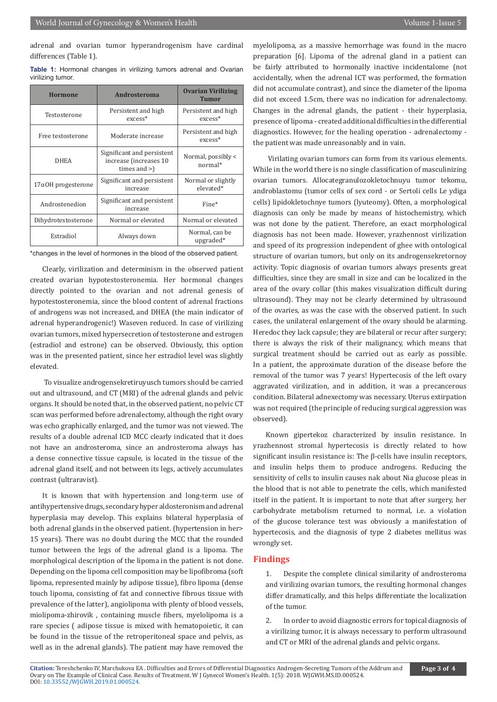adrenal and ovarian tumor hyperandrogenism have cardinal differences (Table 1).

**Table 1:** Hormonal changes in virilizing tumors adrenal and Ovarian virilizing tumor.

| <b>Hormone</b>             | Androsteroma                                                            | <b>Ovarian Virilizing</b><br><b>Tumor</b> |
|----------------------------|-------------------------------------------------------------------------|-------------------------------------------|
| Testosterone               | Persistent and high<br>$excess*$                                        | Persistent and high<br>excess*            |
| Free testosterone          | Moderate increase                                                       | Persistent and high<br>excess*            |
| <b>DHEA</b>                | Significant and persistent<br>increase (increases 10<br>times and $>$ ) | Normal, possibly <<br>$normal*$           |
| $17\alpha$ OH progesterone | Significant and persistent<br>increase                                  | Normal or slightly<br>elevated*           |
| Androstenedion             | Significant and persistent<br>increase                                  | Fine*                                     |
| Dihydrotestosterone        | Normal or elevated                                                      | Normal or elevated                        |
| Estradiol                  | Always down                                                             | Normal, can be<br>upgraded*               |

\*changes in the level of hormones in the blood of the observed patient.

Clearly, virilization and determinism in the observed patient created ovarian hypotestosteronemia. Her hormonal changes directly pointed to the ovarian and not adrenal genesis of hypotestosteronemia, since the blood content of adrenal fractions of androgens was not increased, and DHEA (the main indicator of adrenal hyperandrogenic!) Waseven reduced. In case of virilizing ovarian tumors, mixed hypersecretion of testosterone and estrogen (estradiol and estrone) can be observed. Obviously, this option was in the presented patient, since her estradiol level was slightly elevated.

 To visualize androgensekretiruyusch tumors should be carried out and ultrasound, and CT (MRI) of the adrenal glands and pelvic organs. It should be noted that, in the observed patient, no pelvic CT scan was performed before adrenalectomy, although the right ovary was echo graphically enlarged, and the tumor was not viewed. The results of a double adrenal ICD MCC clearly indicated that it does not have an androsteroma, since an androsteroma always has a dense connective tissue capsule, is located in the tissue of the adrenal gland itself, and not between its legs, actively accumulates contrast (ultraravist).

It is known that with hypertension and long-term use of antihypertensive drugs, secondary hyper aldosteronism and adrenal hyperplasia may develop. This explains bilateral hyperplasia of both adrenal glands in the observed patient. (hypertension in her> 15 years). There was no doubt during the MCC that the rounded tumor between the legs of the adrenal gland is a lipoma. The morphological description of the lipoma in the patient is not done. Depending on the lipoma cell composition may be lipofibroma (soft lipoma, represented mainly by adipose tissue), fibro lipoma (dense touch lipoma, consisting of fat and connective fibrous tissue with prevalence of the latter), angiolipoma with plenty of blood vessels, miolipoma-zhirovik , containing muscle fibers, myelolipoma is a rare species ( adipose tissue is mixed with hematopoietic, it can be found in the tissue of the retroperitoneal space and pelvis, as well as in the adrenal glands). The patient may have removed the

myelolipoma, as a massive hemorrhage was found in the macro preparation [6]. Lipoma of the adrenal gland in a patient can be fairly attributed to hormonally inactive incidentalome (not accidentally, when the adrenal ICT was performed, the formation did not accumulate contrast), and since the diameter of the lipoma did not exceed 1.5cm, there was no indication for adrenalectomy. Changes in the adrenal glands, the patient - their hyperplasia, presence of lipoma - created additional difficulties in the differential diagnostics. However, for the healing operation - adrenalectomy the patient was made unreasonably and in vain.

 Virilating ovarian tumors can form from its various elements. While in the world there is no single classification of masculinizing ovarian tumors. Allocategranulozokletochnuyu tumor tekomu, androblastomu (tumor cells of sex cord - or Sertoli cells Le ydiga cells) lipidokletochnye tumors (lyuteomy). Often, a morphological diagnosis can only be made by means of histochemistry, which was not done by the patient. Therefore, an exact morphological diagnosis has not been made. However, yrazhennost virilization and speed of its progression independent of ghee with ontological structure of ovarian tumors, but only on its androgensekretornoy activity. Topic diagnosis of ovarian tumors always presents great difficulties, since they are small in size and can be localized in the area of the ovary collar (this makes visualization difficult during ultrasound). They may not be clearly determined by ultrasound of the ovaries, as was the case with the observed patient. In such cases, the unilateral enlargement of the ovary should be alarming. Heredoc they lack capsule; they are bilateral or recur after surgery; there is always the risk of their malignancy, which means that surgical treatment should be carried out as early as possible. In a patient, the approximate duration of the disease before the removal of the tumor was 7 years! Hypertecosis of the left ovary aggravated virilization, and in addition, it was a precancerous condition. Bilateral adnexectomy was necessary. Uterus extirpation was not required (the principle of reducing surgical aggression was observed).

Known gipertekoz characterized by insulin resistance. In yrazhennost stromal hypertecosis is directly related to how significant insulin resistance is: The β-cells have insulin receptors, and insulin helps them to produce androgens. Reducing the sensitivity of cells to insulin causes nak about Nia glucose pleas in the blood that is not able to penetrate the cells, which manifested itself in the patient. It is important to note that after surgery, her carbohydrate metabolism returned to normal, i.e. a violation of the glucose tolerance test was obviously a manifestation of hypertecosis, and the diagnosis of type 2 diabetes mellitus was wrongly set.

#### **Findings**

1. Despite the complete clinical similarity of androsteroma and virilizing ovarian tumors, the resulting hormonal changes differ dramatically, and this helps differentiate the localization of the tumor.

2. In order to avoid diagnostic errors for topical diagnosis of a virilizing tumor, it is always necessary to perform ultrasound and CT or MRI of the adrenal glands and pelvic organs.